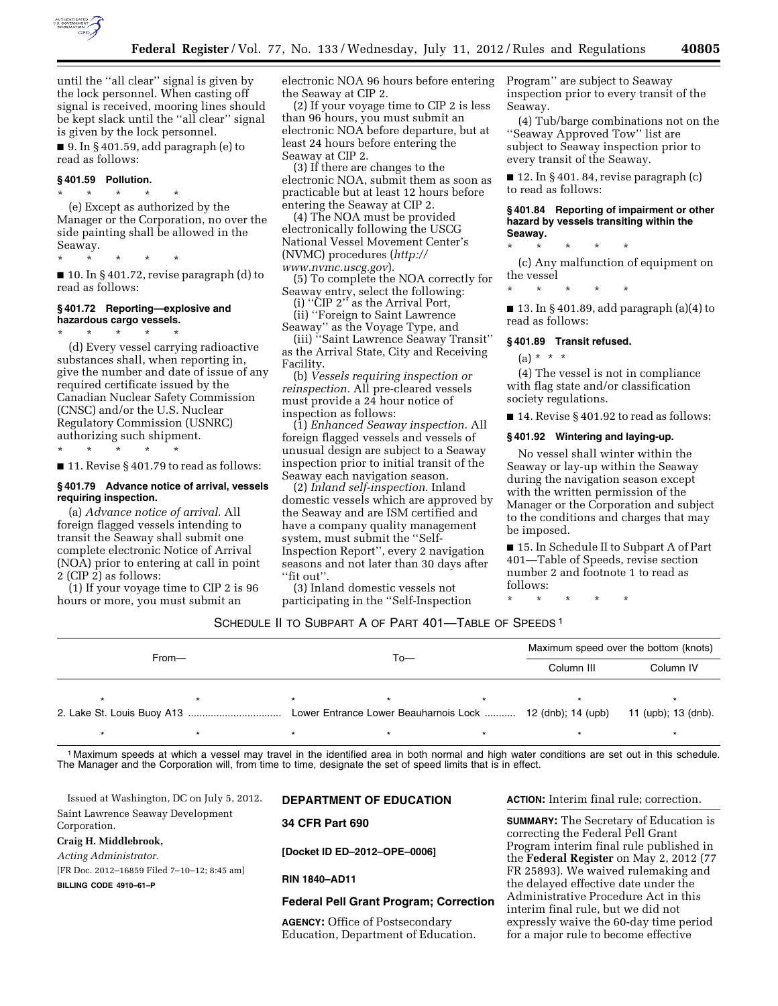

until the ''all clear'' signal is given by the lock personnel. When casting off signal is received, mooring lines should be kept slack until the ''all clear'' signal is given by the lock personnel.

■ 9. In § 401.59, add paragraph (e) to read as follows:

### **§ 401.59 Pollution.**

\* \* \* \* \* (e) Except as authorized by the Manager or the Corporation, no over the side painting shall be allowed in the Seaway.

\* \* \* \* \*

 $\blacksquare$  10. In § 401.72, revise paragraph (d) to read as follows:

## **§ 401.72 Reporting—explosive and hazardous cargo vessels.**

\* \* \* \* \*

(d) Every vessel carrying radioactive substances shall, when reporting in, give the number and date of issue of any required certificate issued by the Canadian Nuclear Safety Commission (CNSC) and/or the U.S. Nuclear Regulatory Commission (USNRC) authorizing such shipment.

\* \* \* \* \*

■ 11. Revise § 401.79 to read as follows:

## **§ 401.79 Advance notice of arrival, vessels requiring inspection.**

(a) *Advance notice of arrival.* All foreign flagged vessels intending to transit the Seaway shall submit one complete electronic Notice of Arrival (NOA) prior to entering at call in point 2 (CIP 2) as follows:

(1) If your voyage time to CIP 2 is 96 hours or more, you must submit an

electronic NOA 96 hours before entering the Seaway at CIP 2.

(2) If your voyage time to CIP 2 is less than 96 hours, you must submit an electronic NOA before departure, but at least 24 hours before entering the Seaway at CIP 2.

(3) If there are changes to the electronic NOA, submit them as soon as practicable but at least 12 hours before entering the Seaway at CIP 2.

(4) The NOA must be provided electronically following the USCG National Vessel Movement Center's (NVMC) procedures (*[http://](http://www.nvmc.uscg.gov) [www.nvmc.uscg.gov](http://www.nvmc.uscg.gov)*).

(5) To complete the NOA correctly for Seaway entry, select the following:

(i) ''CIP 2'' as the Arrival Port,

(ii) ''Foreign to Saint Lawrence Seaway'' as the Voyage Type, and

(iii) ''Saint Lawrence Seaway Transit'' as the Arrival State, City and Receiving Facility.

(b) *Vessels requiring inspection or reinspection.* All pre-cleared vessels must provide a 24 hour notice of inspection as follows:

(1) *Enhanced Seaway inspection.* All foreign flagged vessels and vessels of unusual design are subject to a Seaway inspection prior to initial transit of the Seaway each navigation season.

(2) *Inland self-inspection.* Inland domestic vessels which are approved by the Seaway and are ISM certified and have a company quality management system, must submit the ''Self-Inspection Report'', every 2 navigation seasons and not later than 30 days after ''fit out''.

(3) Inland domestic vessels not participating in the ''Self-Inspection Program'' are subject to Seaway inspection prior to every transit of the Seaway.

(4) Tub/barge combinations not on the ''Seaway Approved Tow'' list are subject to Seaway inspection prior to every transit of the Seaway.

 $\blacksquare$  12. In § 401. 84, revise paragraph (c) to read as follows:

### **§ 401.84 Reporting of impairment or other hazard by vessels transiting within the Seaway.**

\* \* \* \* \*

(c) Any malfunction of equipment on the vessel

\* \* \* \* \*

■ 13. In § 401.89, add paragraph (a)(4) to read as follows:

### **§ 401.89 Transit refused.**

 $(a) * * * *$ 

(4) The vessel is not in compliance with flag state and/or classification society regulations.

■ 14. Revise § 401.92 to read as follows:

### **§ 401.92 Wintering and laying-up.**

No vessel shall winter within the Seaway or lay-up within the Seaway during the navigation season except with the written permission of the Manager or the Corporation and subject to the conditions and charges that may be imposed.

■ 15. In Schedule II to Subpart A of Part 401—Table of Speeds, revise section number 2 and footnote 1 to read as follows:

\* \* \* \* \*

## SCHEDULE II TO SUBPART A OF PART 401—TABLE OF SPEEDS 1

| $From -$ |  | $To-$                                                     |  |  | Maximum speed over the bottom (knots) |                     |
|----------|--|-----------------------------------------------------------|--|--|---------------------------------------|---------------------|
|          |  |                                                           |  |  | Column III                            | Column IV           |
|          |  |                                                           |  |  |                                       |                     |
|          |  | Lower Entrance Lower Beauharnois Lock  12 (dnb); 14 (upb) |  |  |                                       | 11 (upb); 13 (dnb). |
|          |  |                                                           |  |  |                                       |                     |

1 Maximum speeds at which a vessel may travel in the identified area in both normal and high water conditions are set out in this schedule. The Manager and the Corporation will, from time to time, designate the set of speed limits that is in effect.

Issued at Washington, DC on July 5, 2012. Saint Lawrence Seaway Development Corporation. **Craig H. Middlebrook,**  *Acting Administrator.*  [FR Doc. 2012–16859 Filed 7–10–12; 8:45 am] **BILLING CODE 4910–61–P DEPARTMENT OF EDUCATION 34 CFR Part 690 [Docket ID ED–2012–OPE–0006] RIN 1840–AD11 Federal Pell Grant Program; Correction** 

**AGENCY:** Office of Postsecondary Education, Department of Education. **ACTION:** Interim final rule; correction.

**SUMMARY:** The Secretary of Education is correcting the Federal Pell Grant Program interim final rule published in the **Federal Register** on May 2, 2012 (77 FR 25893). We waived rulemaking and the delayed effective date under the Administrative Procedure Act in this interim final rule, but we did not expressly waive the 60-day time period for a major rule to become effective